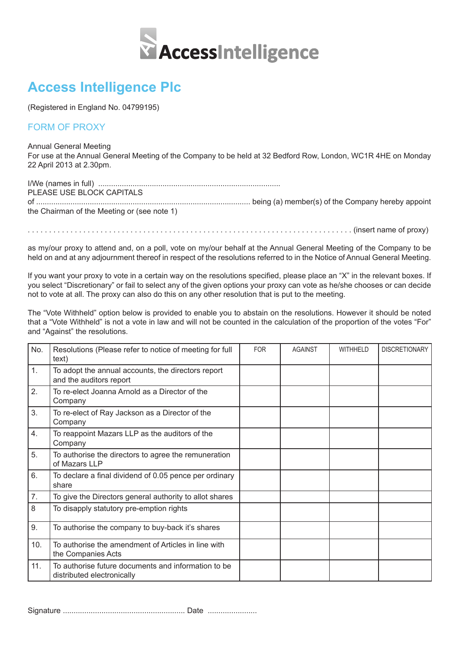

## **Access Intelligence Plc**

(Registered in England No. 04799195)

## FORM OF PROXY

Annual General Meeting

For use at the Annual General Meeting of the Company to be held at 32 Bedford Row, London, WC1R 4HE on Monday 22 April 2013 at 2.30pm.

I/We (names in full) ..................................................................................... PLEASE USE BLOCK CAPITALS of .................................................................................................... being (a) member(s) of the Company hereby appoint the Chairman of the Meeting or (see note 1)

. . . . . . . . . . . . . . . . . . . . . . . . . . . . . . . . . . . . . . . . . . . . . . . . . . . . . . . . . . . . . . . . . . . . . . . . . . . . (insert name of proxy)

as my/our proxy to attend and, on a poll, vote on my/our behalf at the Annual General Meeting of the Company to be held on and at any adjournment thereof in respect of the resolutions referred to in the Notice of Annual General Meeting.

If you want your proxy to vote in a certain way on the resolutions specified, please place an "X" in the relevant boxes. If you select "Discretionary" or fail to select any of the given options your proxy can vote as he/she chooses or can decide not to vote at all. The proxy can also do this on any other resolution that is put to the meeting.

The "Vote Withheld" option below is provided to enable you to abstain on the resolutions. However it should be noted that a "Vote Withheld" is not a vote in law and will not be counted in the calculation of the proportion of the votes "For" and "Against" the resolutions.

| No. | Resolutions (Please refer to notice of meeting for full<br>text)                  | <b>FOR</b> | <b>AGAINST</b> | <b>WITHHELD</b> | <b>DISCRETIONARY</b> |
|-----|-----------------------------------------------------------------------------------|------------|----------------|-----------------|----------------------|
| 1.  | To adopt the annual accounts, the directors report<br>and the auditors report     |            |                |                 |                      |
| 2.  | To re-elect Joanna Arnold as a Director of the<br>Company                         |            |                |                 |                      |
| 3.  | To re-elect of Ray Jackson as a Director of the<br>Company                        |            |                |                 |                      |
| 4.  | To reappoint Mazars LLP as the auditors of the<br>Company                         |            |                |                 |                      |
| 5.  | To authorise the directors to agree the remuneration<br>of Mazars LLP             |            |                |                 |                      |
| 6.  | To declare a final dividend of 0.05 pence per ordinary<br>share                   |            |                |                 |                      |
| 7.  | To give the Directors general authority to allot shares                           |            |                |                 |                      |
| 8   | To disapply statutory pre-emption rights                                          |            |                |                 |                      |
| 9.  | To authorise the company to buy-back it's shares                                  |            |                |                 |                      |
| 10. | To authorise the amendment of Articles in line with<br>the Companies Acts         |            |                |                 |                      |
| 11. | To authorise future documents and information to be<br>distributed electronically |            |                |                 |                      |

Signature ......................................................... Date .......................